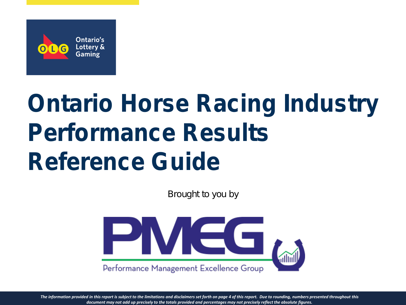

# *Ontario Horse Racing Industry Performance Results Reference Guide*

*Brought to you by*



*The information provided in this report is subject to the limitations and disclaimers set forth on page 4 of this report. Due to rounding, numbers presented throughout this document may not add up precisely to the totals provided and percentages may not precisely reflect the absolute figures.*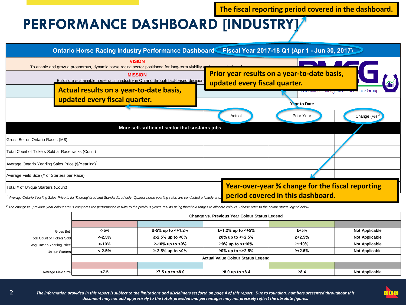**The fiscal reporting period covered in the dashboard.**

## **PERFORMANCE DASHBOARD [INDUSTRY]**



<sup>2</sup> The change vs. previous year colour status compares the performance results to the previous year's results using threshold ranges to allocate colours. Please refer to the colour status legend below.

 $\mathfrak{D}$ 

|                             | Change vs. Previous Year Colour Status Legend |                     |                      |              |                       |  |  |  |  |
|-----------------------------|-----------------------------------------------|---------------------|----------------------|--------------|-----------------------|--|--|--|--|
|                             |                                               |                     |                      |              |                       |  |  |  |  |
| Gross Bet                   | <-5%                                          | $≥-5%$ up to <+1.2% | ≥+1.2% up to <+5%    | $\ge +5\%$   | <b>Not Applicable</b> |  |  |  |  |
| Total Count of Tickets Sold | $< -2.5%$                                     | ≥-2.5% up to <0%    | ≥0% up to <+2.5%     | ≥+2.5%       | <b>Not Applicable</b> |  |  |  |  |
| Avg Ontario Yearling Price  | <-10%                                         | $≥-10\%$ up to <0%  | ≥0% up to $lt$ +10%  | ≥+10%        | <b>Not Applicable</b> |  |  |  |  |
| Unique Starters             | $< -2.5%$                                     | $≥-2.5%$ up to <0%  | ≥0% up to $lt;+2.5%$ | $\ge +2.5\%$ | Not Applicable        |  |  |  |  |
|                             | <b>Actual Value Colour Status Legend</b>      |                     |                      |              |                       |  |  |  |  |
|                             |                                               |                     |                      |              |                       |  |  |  |  |
| Average Field Size          | 27.5                                          | $≥7.5$ up to $≤8.0$ | $≥8.0$ up to $<8.4$  | $\geq 8.4$   | <b>Not Applicable</b> |  |  |  |  |

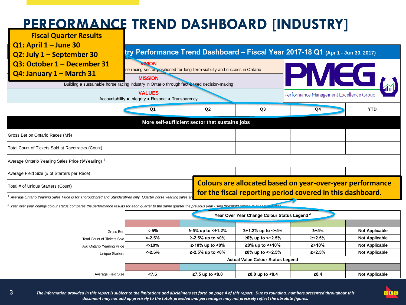# **PERFORMANCE TREND DASHBOARD [INDUSTRY]**

**Fiscal Quarter Results Q1: April 1 – June 30**

3

#### **Cry Performance Trend Dashboard – Fiscal Year 2017-18 Q1** (Apr 1 - Jun 30, 2017)



<sup>1</sup> Average Ontario Yearling Sales Price is for Thoroughbred and Standardbred only. Quarter horse yearling sales and the conduction of the conducted privately and the conducted from the conducted from this metric.

**2** Year over year change colour status compares the performance results for each quarter to the same quarter the previous year using threshold ranges to allocate colours.

|                                    | Year Over Year Change Colour Status Legend <sup>2</sup> |                         |                        |               |                       |  |  |  |
|------------------------------------|---------------------------------------------------------|-------------------------|------------------------|---------------|-----------------------|--|--|--|
|                                    |                                                         |                         |                        |               |                       |  |  |  |
| Gross Bet                          | <-5%                                                    | $≥-5\%$ up to $≤+1.2\%$ | $≥+1.2%$ up to $≤+5%$  | $2 + 5%$      | <b>Not Applicable</b> |  |  |  |
| <b>Total Count of Tickets Sold</b> | $< -2.5\%$                                              | $≥-2.5%$ up to <0%      | $≥0\%$ up to $≤+2.5\%$ | $\geq +2.5\%$ | <b>Not Applicable</b> |  |  |  |
| Avg Ontario Yearling Price         | $< -10%$                                                | $≥-10\%$ up to <0%      | $≥0\%$ up to $≤+10\%$  | ≥+10%         | <b>Not Applicable</b> |  |  |  |
| <b>Unique Starters</b>             | $< -2.5%$                                               | $≥-2.5%$ up to <0%      | $≥0\%$ up to <+2.5%    | $\geq +2.5\%$ | <b>Not Applicable</b> |  |  |  |
|                                    | <b>Actual Value Colour Status Legend</b>                |                         |                        |               |                       |  |  |  |
|                                    |                                                         |                         |                        |               |                       |  |  |  |
| Average Field Size                 | 27.5                                                    | $≥7.5$ up to $≤8.0$     | $≥8.0$ up to $<8.4$    | $\geq 8.4$    | <b>Not Applicable</b> |  |  |  |